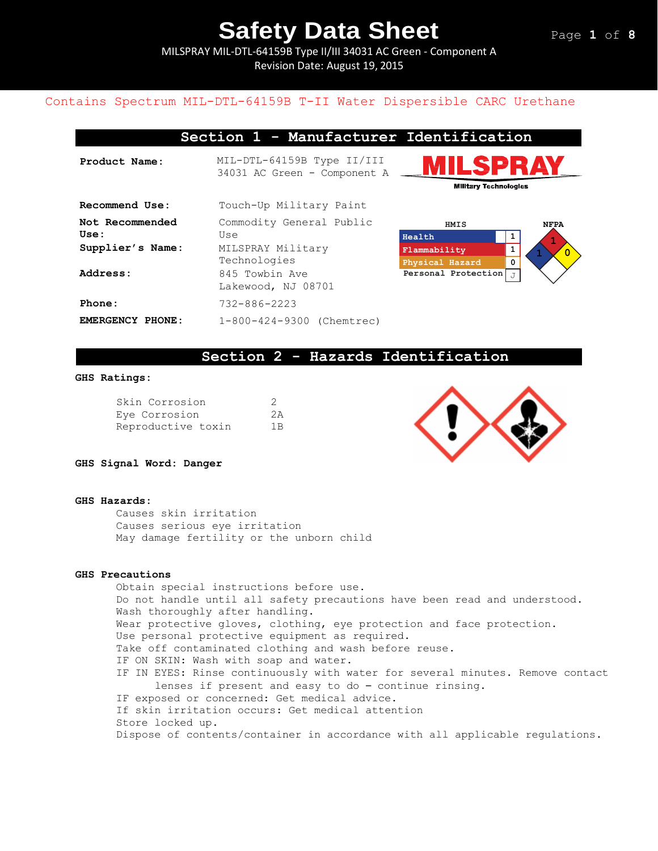MILSPRAY MIL-DTL-64159B Type II/III 34031 AC Green - Component A Revision Date: August 19, 2015

### Contains Spectrum MIL-DTL-64159B T-II Water Dispersible CARC Urethane

### **Section 1 - Manufacturer Identification**

| Product Name:           | MIL-DTL-64159B Type II/III<br>34031 AC Green - Component A |                                               |
|-------------------------|------------------------------------------------------------|-----------------------------------------------|
| Recommend Use:          | Touch-Up Military Paint                                    |                                               |
| Not Recommended<br>Use: | Commodity General Public<br>Use                            | $\mathbf H$                                   |
| Supplier's Name:        | MILSPRAY Military<br>Technologies                          | $\mathbf{F}% _{0}$<br>$\overline{\mathbf{P}}$ |
| Address:                | 845 Towbin Ave<br>Lakewood, NJ 08701                       | P                                             |
| Phone:                  | $732 - 886 - 2223$                                         |                                               |
| EMERGENCY PHONE:        | 1-800-424-9300 (Chemtrec)                                  |                                               |





### **Section 2 - Hazards Identification**

#### **GHS Ratings:**

| Skin Corrosion     | -2 |
|--------------------|----|
| Eve Corrosion      | 2A |
| Reproductive toxin | 1B |



**GHS Signal Word: Danger**

#### **GHS Hazards:**

Causes skin irritation Causes serious eye irritation May damage fertility or the unborn child

#### **GHS Precautions**

Obtain special instructions before use. Do not handle until all safety precautions have been read and understood. Wash thoroughly after handling. Wear protective gloves, clothing, eye protection and face protection. Use personal protective equipment as required. Take off contaminated clothing and wash before reuse. IF ON SKIN: Wash with soap and water. IF IN EYES: Rinse continuously with water for several minutes. Remove contact lenses if present and easy to do – continue rinsing. IF exposed or concerned: Get medical advice. If skin irritation occurs: Get medical attention Store locked up. Dispose of contents/container in accordance with all applicable regulations.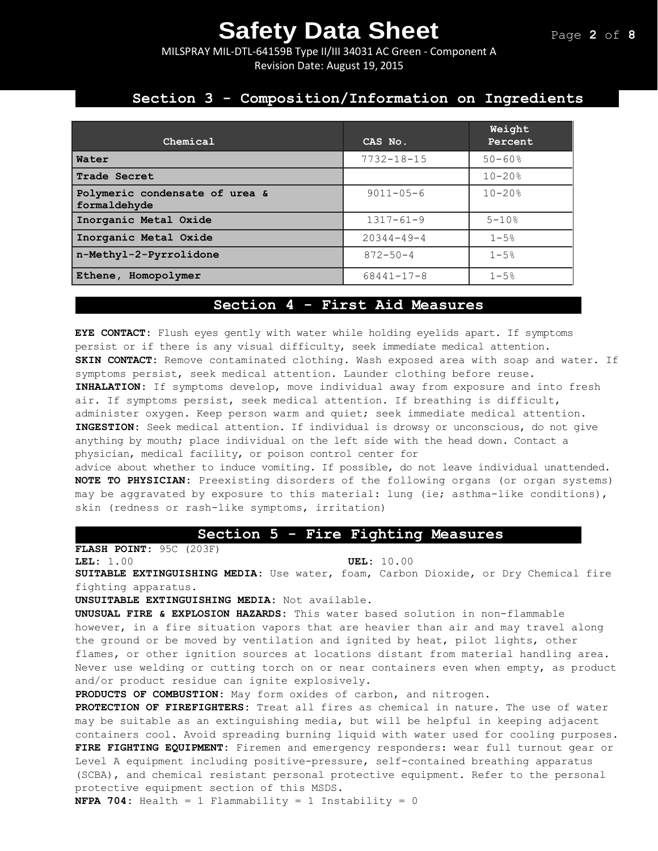MILSPRAY MIL-DTL-64159B Type II/III 34031 AC Green - Component A Revision Date: August 19, 2015

### **Section 3 - Composition/Information on Ingredients**

| Chemical                                       | CAS No.          | Weight<br>Percent |
|------------------------------------------------|------------------|-------------------|
| Water                                          | $7732 - 18 - 15$ | $50 - 60$ %       |
| Trade Secret                                   |                  | $10 - 20%$        |
| Polymeric condensate of urea &<br>formaldehyde | $9011 - 05 - 6$  | $10 - 20$ %       |
| Inorganic Metal Oxide                          | $1317 - 61 - 9$  | $5 - 10$ %        |
| Inorganic Metal Oxide                          | $20344 - 49 - 4$ | $1 - 5%$          |
| n-Methyl-2-Pyrrolidone                         | $872 - 50 - 4$   | $1 - 5%$          |
| Ethene, Homopolymer                            | 68441-17-8       | $1 - 5%$          |

### **Section 4 - First Aid Measures**

**EYE CONTACT:** Flush eyes gently with water while holding eyelids apart. If symptoms persist or if there is any visual difficulty, seek immediate medical attention. **SKIN CONTACT:** Remove contaminated clothing. Wash exposed area with soap and water. If symptoms persist, seek medical attention. Launder clothing before reuse. **INHALATION:** If symptoms develop, move individual away from exposure and into fresh air. If symptoms persist, seek medical attention. If breathing is difficult, administer oxygen. Keep person warm and quiet; seek immediate medical attention. **INGESTION:** Seek medical attention. If individual is drowsy or unconscious, do not give anything by mouth; place individual on the left side with the head down. Contact a physician, medical facility, or poison control center for advice about whether to induce vomiting. If possible, do not leave individual unattended. **NOTE TO PHYSICIAN:** Preexisting disorders of the following organs (or organ systems)

may be aggravated by exposure to this material: lung (ie; asthma-like conditions), skin (redness or rash-like symptoms, irritation)

### **Section 5 - Fire Fighting Measures**

**FLASH POINT:** 95C (203F) **LEL:** 1.00 **UEL:** 10.00

**SUITABLE EXTINGUISHING MEDIA:** Use water, foam, Carbon Dioxide, or Dry Chemical fire fighting apparatus.

**UNSUITABLE EXTINGUISHING MEDIA:** Not available.

**UNUSUAL FIRE & EXPLOSION HAZARDS:** This water based solution in non-flammable however, in a fire situation vapors that are heavier than air and may travel along the ground or be moved by ventilation and ignited by heat, pilot lights, other flames, or other ignition sources at locations distant from material handling area. Never use welding or cutting torch on or near containers even when empty, as product and/or product residue can ignite explosively.

**PRODUCTS OF COMBUSTION:** May form oxides of carbon, and nitrogen.

**PROTECTION OF FIREFIGHTERS:** Treat all fires as chemical in nature. The use of water may be suitable as an extinguishing media, but will be helpful in keeping adjacent containers cool. Avoid spreading burning liquid with water used for cooling purposes. **FIRE FIGHTING EQUIPMENT:** Firemen and emergency responders: wear full turnout gear or Level A equipment including positive-pressure, self-contained breathing apparatus (SCBA), and chemical resistant personal protective equipment. Refer to the personal protective equipment section of this MSDS.

**NFPA 704:** Health = 1 Flammability = 1 Instability = 0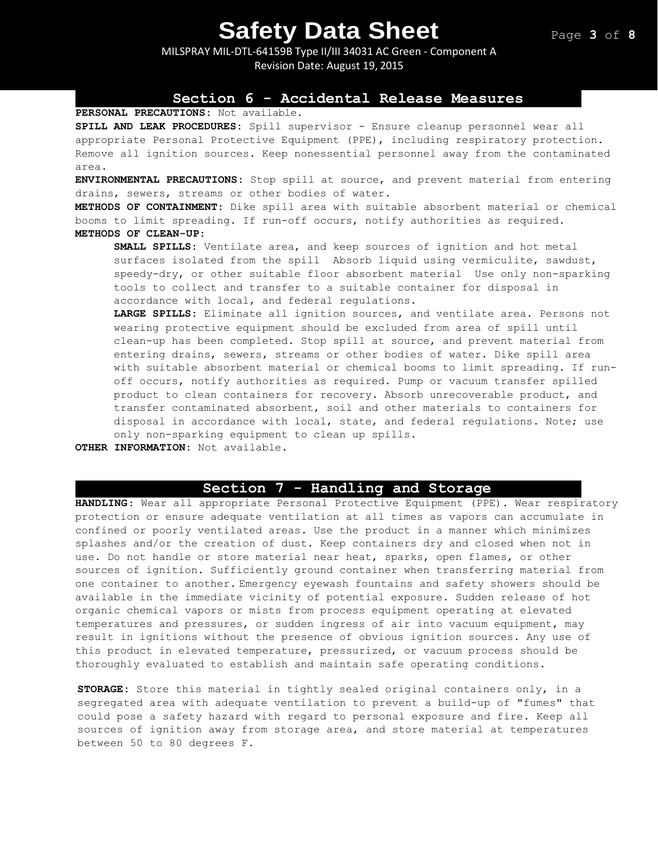MILSPRAY MIL-DTL-64159B Type II/III 34031 AC Green - Component A Revision Date: August 19, 2015

### **Section 6 - Accidental Release Measures**

### **PERSONAL PRECAUTIONS:** Not available.

**SPILL AND LEAK PROCEDURES:** Spill supervisor - Ensure cleanup personnel wear all appropriate Personal Protective Equipment (PPE), including respiratory protection. Remove all ignition sources. Keep nonessential personnel away from the contaminated area.

**ENVIRONMENTAL PRECAUTIONS:** Stop spill at source, and prevent material from entering drains, sewers, streams or other bodies of water.

**METHODS OF CONTAINMENT:** Dike spill area with suitable absorbent material or chemical booms to limit spreading. If run-off occurs, notify authorities as required. **METHODS OF CLEAN-UP:**

**SMALL SPILLS:** Ventilate area, and keep sources of ignition and hot metal surfaces isolated from the spill Absorb liquid using vermiculite, sawdust, speedy-dry, or other suitable floor absorbent material Use only non-sparking tools to collect and transfer to a suitable container for disposal in accordance with local, and federal regulations.

**LARGE SPILLS:** Eliminate all ignition sources, and ventilate area. Persons not wearing protective equipment should be excluded from area of spill until clean-up has been completed. Stop spill at source, and prevent material from entering drains, sewers, streams or other bodies of water. Dike spill area with suitable absorbent material or chemical booms to limit spreading. If runoff occurs, notify authorities as required. Pump or vacuum transfer spilled product to clean containers for recovery. Absorb unrecoverable product, and transfer contaminated absorbent, soil and other materials to containers for disposal in accordance with local, state, and federal regulations. Note; use only non-sparking equipment to clean up spills.

**OTHER INFORMATION:** Not available.

### **Section 7 - Handling and Storage**

**HANDLING**: Wear all appropriate Personal Protective Equipment (PPE). Wear respiratory protection or ensure adequate ventilation at all times as vapors can accumulate in confined or poorly ventilated areas. Use the product in a manner which minimizes splashes and/or the creation of dust. Keep containers dry and closed when not in use. Do not handle or store material near heat, sparks, open flames, or other sources of ignition. Sufficiently ground container when transferring material from one container to another. Emergency eyewash fountains and safety showers should be available in the immediate vicinity of potential exposure. Sudden release of hot organic chemical vapors or mists from process equipment operating at elevated temperatures and pressures, or sudden ingress of air into vacuum equipment, may result in ignitions without the presence of obvious ignition sources. Any use of this product in elevated temperature, pressurized, or vacuum process should be thoroughly evaluated to establish and maintain safe operating conditions.

**STORAGE:** Store this material in tightly sealed original containers only, in a segregated area with adequate ventilation to prevent a build-up of "fumes" that could pose a safety hazard with regard to personal exposure and fire. Keep all sources of ignition away from storage area, and store material at temperatures between 50 to 80 degrees F.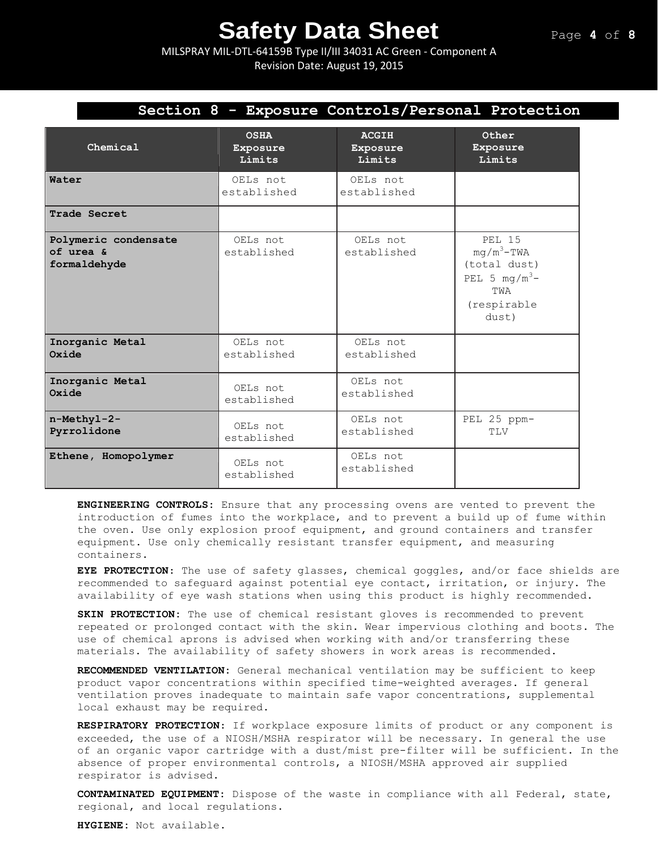MILSPRAY MIL-DTL-64159B Type II/III 34031 AC Green - Component A Revision Date: August 19, 2015

|                                                   |                         |                         | Section 8 - Exposure Controls/Personal Protection                                                 |
|---------------------------------------------------|-------------------------|-------------------------|---------------------------------------------------------------------------------------------------|
| Chemical                                          | <b>OSHA</b>             | <b>ACGIH</b>            | Other                                                                                             |
|                                                   | Exposure                | Exposure                | Exposure                                                                                          |
|                                                   | Limits                  | Limits                  | Limits                                                                                            |
| Water                                             | OELs not<br>established | OELs not<br>established |                                                                                                   |
| Trade Secret                                      |                         |                         |                                                                                                   |
| Polymeric condensate<br>of urea &<br>formaldehyde | OELs not<br>established | OELs not<br>established | <b>PEL 15</b><br>$mq/m^3$ -TWA<br>(total dust)<br>PEL 5 $mg/m^3$ -<br>TWA<br>(respirable<br>dust) |
| Inorganic Metal                                   | OELs not                | OELs not                |                                                                                                   |
| Oxide                                             | established             | established             |                                                                                                   |
| Inorganic Metal                                   | OELs not                | OELs not                |                                                                                                   |
| Oxide                                             | established             | established             |                                                                                                   |
| n-Methyl-2-                                       | OELs not                | OELs not                | PEL 25 ppm-                                                                                       |
| Pyrrolidone                                       | established             | established             | TLV                                                                                               |

**ENGINEERING CONTROLS:** Ensure that any processing ovens are vented to prevent the introduction of fumes into the workplace, and to prevent a build up of fume within the oven. Use only explosion proof equipment, and ground containers and transfer equipment. Use only chemically resistant transfer equipment, and measuring containers.

OELs not established

OELs not established

**EYE PROTECTION**: The use of safety glasses, chemical goggles, and/or face shields are recommended to safeguard against potential eye contact, irritation, or injury. The availability of eye wash stations when using this product is highly recommended.

**SKIN PROTECTION:** The use of chemical resistant gloves is recommended to prevent repeated or prolonged contact with the skin. Wear impervious clothing and boots. The use of chemical aprons is advised when working with and/or transferring these materials. The availability of safety showers in work areas is recommended**.** 

**RECOMMENDED VENTILATION:** General mechanical ventilation may be sufficient to keep product vapor concentrations within specified time-weighted averages. If general ventilation proves inadequate to maintain safe vapor concentrations, supplemental local exhaust may be required.

**RESPIRATORY PROTECTION**: If workplace exposure limits of product or any component is exceeded, the use of a NIOSH/MSHA respirator will be necessary. In general the use of an organic vapor cartridge with a dust/mist pre-filter will be sufficient. In the absence of proper environmental controls, a NIOSH/MSHA approved air supplied respirator is advised.

**CONTAMINATED EQUIPMENT:** Dispose of the waste in compliance with all Federal, state, regional, and local regulations.

**HYGIENE:** Not available.

**Oxide**

**Ethene, Homopolymer**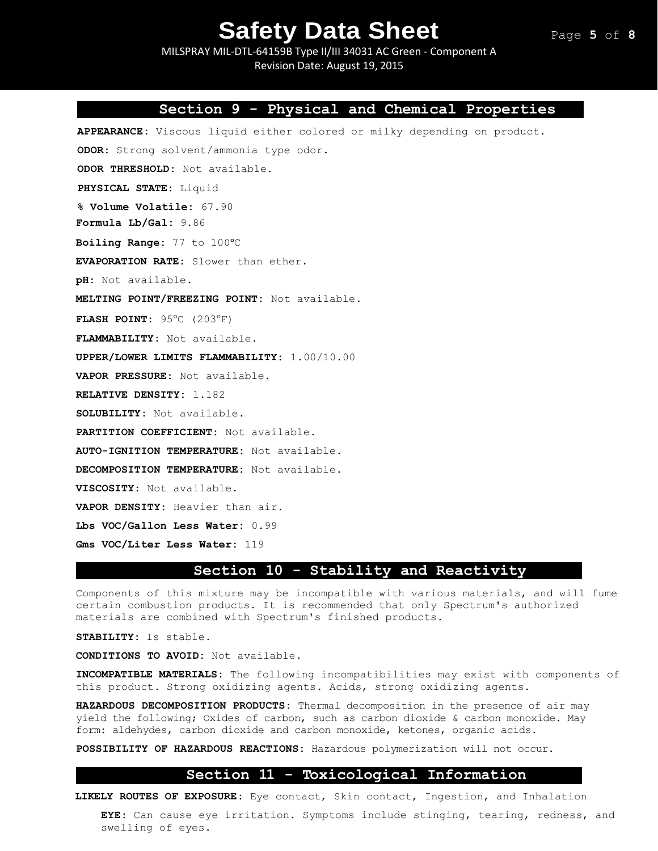MILSPRAY MIL-DTL-64159B Type II/III 34031 AC Green - Component A Revision Date: August 19, 2015

### **Section 9 - Physical and Chemical Properties**

**APPEARANCE:** Viscous liquid either colored or milky depending on product.

**ODOR:** Strong solvent/ammonia type odor.

**ODOR THRESHOLD:** Not available.

**PHYSICAL STATE:** Liquid

**% Volume Volatile:** 67.90

**Formula Lb/Gal:** 9.86

**Boiling Range:** 77 to 100°C

**EVAPORATION RATE:** Slower than ether.

**pH:** Not available.

**MELTING POINT/FREEZING POINT:** Not available.

**FLASH POINT:** 95°C (203°F)

**FLAMMABILITY:** Not available.

**UPPER/LOWER LIMITS FLAMMABILITY:** 1.00/10.00

**VAPOR PRESSURE:** Not available.

**RELATIVE DENSITY:** 1.182

**SOLUBILITY:** Not available.

**PARTITION COEFFICIENT:** Not available.

**AUTO-IGNITION TEMPERATURE:** Not available.

**DECOMPOSITION TEMPERATURE:** Not available.

**VISCOSITY:** Not available.

**VAPOR DENSITY:** Heavier than air.

**Lbs VOC/Gallon Less Water:** 0.99

**Gms VOC/Liter Less Water:** 119

### **Section 10 - Stability and Reactivity**

Components of this mixture may be incompatible with various materials, and will fume certain combustion products. It is recommended that only Spectrum's authorized materials are combined with Spectrum's finished products.

**STABILITY:** Is stable.

**CONDITIONS TO AVOID:** Not available.

**INCOMPATIBLE MATERIALS:** The following incompatibilities may exist with components of this product. Strong oxidizing agents. Acids, strong oxidizing agents.

**HAZARDOUS DECOMPOSITION PRODUCTS:** Thermal decomposition in the presence of air may yield the following; Oxides of carbon, such as carbon dioxide & carbon monoxide. May form: aldehydes, carbon dioxide and carbon monoxide, ketones, organic acids.

**POSSIBILITY OF HAZARDOUS REACTIONS:** Hazardous polymerization will not occur.

### **Section 11 - Toxicological Information**

**LIKELY ROUTES OF EXPOSURE:** Eye contact, Skin contact, Ingestion, and Inhalation

**EYE:** Can cause eye irritation. Symptoms include stinging, tearing, redness, and swelling of eyes.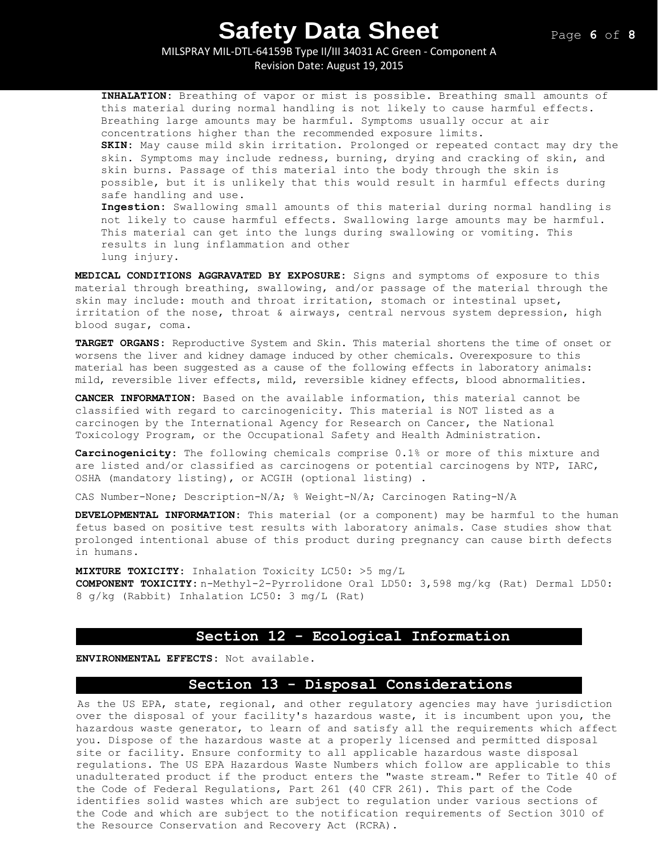MILSPRAY MIL-DTL-64159B Type II/III 34031 AC Green - Component A Revision Date: August 19, 2015

**INHALATION:** Breathing of vapor or mist is possible. Breathing small amounts of this material during normal handling is not likely to cause harmful effects. Breathing large amounts may be harmful. Symptoms usually occur at air concentrations higher than the recommended exposure limits. **SKIN:** May cause mild skin irritation. Prolonged or repeated contact may dry the skin. Symptoms may include redness, burning, drying and cracking of skin, and skin burns. Passage of this material into the body through the skin is possible, but it is unlikely that this would result in harmful effects during safe handling and use. **Ingestion:** Swallowing small amounts of this material during normal handling is not likely to cause harmful effects. Swallowing large amounts may be harmful.

This material can get into the lungs during swallowing or vomiting. This results in lung inflammation and other lung injury.

**MEDICAL CONDITIONS AGGRAVATED BY EXPOSURE:** Signs and symptoms of exposure to this material through breathing, swallowing, and/or passage of the material through the skin may include: mouth and throat irritation, stomach or intestinal upset, irritation of the nose, throat & airways, central nervous system depression, high blood sugar, coma.

**TARGET ORGANS:** Reproductive System and Skin. This material shortens the time of onset or worsens the liver and kidney damage induced by other chemicals. Overexposure to this material has been suggested as a cause of the following effects in laboratory animals: mild, reversible liver effects, mild, reversible kidney effects, blood abnormalities.

**CANCER INFORMATION:** Based on the available information, this material cannot be classified with regard to carcinogenicity. This material is NOT listed as a carcinogen by the International Agency for Research on Cancer, the National Toxicology Program, or the Occupational Safety and Health Administration.

**Carcinogenicity:** The following chemicals comprise 0.1% or more of this mixture and are listed and/or classified as carcinogens or potential carcinogens by NTP, IARC, OSHA (mandatory listing), or ACGIH (optional listing) .

CAS Number-None; Description-N/A; % Weight-N/A; Carcinogen Rating-N/A

**DEVELOPMENTAL INFORMATION:** This material (or a component) may be harmful to the human fetus based on positive test results with laboratory animals. Case studies show that prolonged intentional abuse of this product during pregnancy can cause birth defects in humans.

**MIXTURE TOXICITY:** Inhalation Toxicity LC50: >5 mg/L **COMPONENT TOXICITY:** n-Methyl-2-Pyrrolidone Oral LD50: 3,598 mg/kg (Rat) Dermal LD50: 8 g/kg (Rabbit) Inhalation LC50: 3 mg/L (Rat)

### **Section 12 - Ecological Information**

**ENVIRONMENTAL EFFECTS:** Not available.

### **Section 13 - Disposal Considerations**

As the US EPA, state, regional, and other regulatory agencies may have jurisdiction over the disposal of your facility's hazardous waste, it is incumbent upon you, the hazardous waste generator, to learn of and satisfy all the requirements which affect you. Dispose of the hazardous waste at a properly licensed and permitted disposal site or facility. Ensure conformity to all applicable hazardous waste disposal regulations. The US EPA Hazardous Waste Numbers which follow are applicable to this unadulterated product if the product enters the "waste stream." Refer to Title 40 of the Code of Federal Regulations, Part 261 (40 CFR 261). This part of the Code identifies solid wastes which are subject to regulation under various sections of the Code and which are subject to the notification requirements of Section 3010 of the Resource Conservation and Recovery Act (RCRA).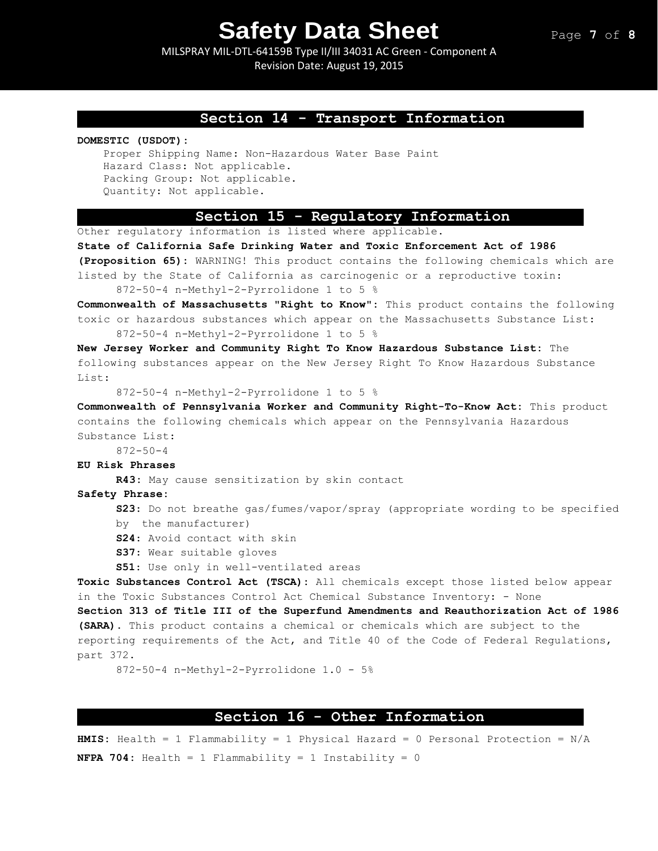MILSPRAY MIL-DTL-64159B Type II/III 34031 AC Green - Component A Revision Date: August 19, 2015

### **Section 14 - Transport Information**

**DOMESTIC (USDOT):**

```
Proper Shipping Name: Non-Hazardous Water Base Paint
Hazard Class: Not applicable. 
Packing Group: Not applicable. 
Quantity: Not applicable.
```
### **Section 15 - Regulatory Information**

Other regulatory information is listed where applicable.

**State of California Safe Drinking Water and Toxic Enforcement Act of 1986 (Proposition 65):** WARNING! This product contains the following chemicals which are listed by the State of California as carcinogenic or a reproductive toxin: 872-50-4 n-Methyl-2-Pyrrolidone 1 to 5 % **Commonwealth of Massachusetts "Right to Know":** This product contains the following toxic or hazardous substances which appear on the Massachusetts Substance List: 872-50-4 n-Methyl-2-Pyrrolidone 1 to 5 % **New Jersey Worker and Community Right To Know Hazardous Substance List:** The following substances appear on the New Jersey Right To Know Hazardous Substance List: 872-50-4 n-Methyl-2-Pyrrolidone 1 to 5 % **Commonwealth of Pennsylvania Worker and Community Right-To-Know Act:** This product contains the following chemicals which appear on the Pennsylvania Hazardous Substance List: 872-50-4 **EU Risk Phrases R43:** May cause sensitization by skin contact **Safety Phrase: S23**: Do not breathe gas/fumes/vapor/spray (appropriate wording to be specified by the manufacturer) **S24**: Avoid contact with skin **S37**: Wear suitable gloves **S51**: Use only in well-ventilated areas **Toxic Substances Control Act (TSCA):** All chemicals except those listed below appear in the Toxic Substances Control Act Chemical Substance Inventory: - None **Section 313 of Title III of the Superfund Amendments and Reauthorization Act of 1986 (SARA).** This product contains a chemical or chemicals which are subject to the reporting requirements of the Act, and Title 40 of the Code of Federal Regulations, part 372.

872-50-4 n-Methyl-2-Pyrrolidone 1.0 - 5%

### **Section 16 - Other Information**

**HMIS:** Health = 1 Flammability = 1 Physical Hazard = 0 Personal Protection = N/A **NFPA 704:** Health = 1 Flammability = 1 Instability = 0